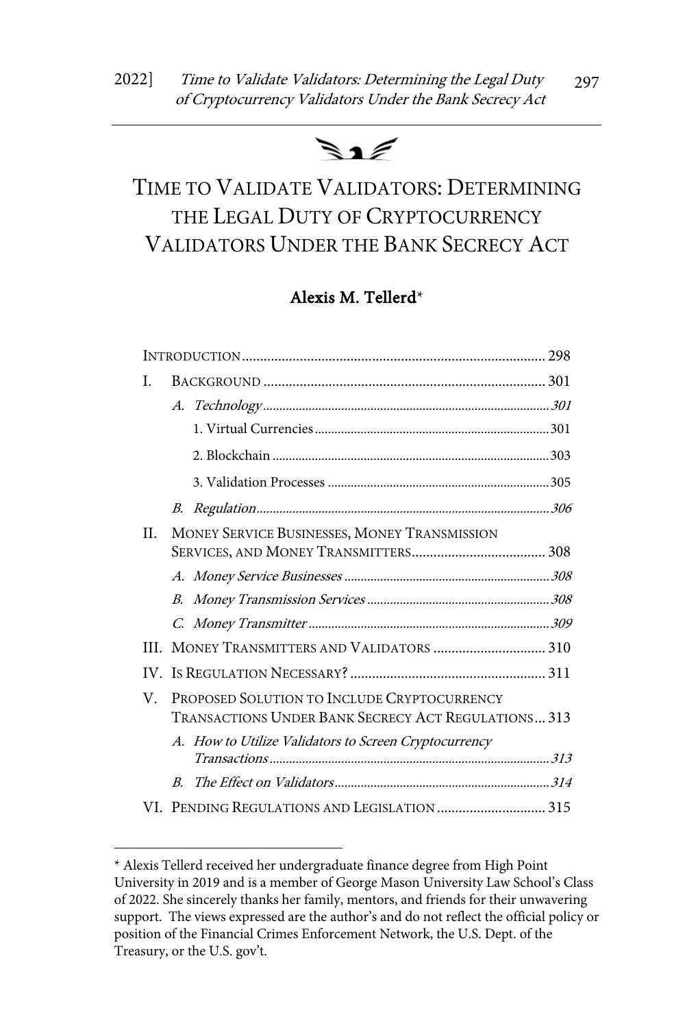# $\blacktriangleright$  1

# TIME TO VALIDATE VALIDATORS: DETERMINING THE LEGAL DUTY OF CRYPTOCURRENCY VALIDATORS UNDER THE BANK SECRECY ACT

# Alexis M. Tellerd\*

| L  |                                                    |                                                       |  |
|----|----------------------------------------------------|-------------------------------------------------------|--|
|    |                                                    |                                                       |  |
|    |                                                    |                                                       |  |
|    |                                                    |                                                       |  |
|    |                                                    |                                                       |  |
|    | В.                                                 |                                                       |  |
| H. | MONEY SERVICE BUSINESSES, MONEY TRANSMISSION       |                                                       |  |
|    |                                                    |                                                       |  |
|    |                                                    |                                                       |  |
|    |                                                    |                                                       |  |
|    |                                                    |                                                       |  |
|    |                                                    | III. MONEY TRANSMITTERS AND VALIDATORS  310           |  |
|    |                                                    |                                                       |  |
| V. | PROPOSED SOLUTION TO INCLUDE CRYPTOCURRENCY        |                                                       |  |
|    | TRANSACTIONS UNDER BANK SECRECY ACT REGULATIONS313 |                                                       |  |
|    |                                                    | A. How to Utilize Validators to Screen Cryptocurrency |  |
|    |                                                    |                                                       |  |
|    | $B_{\cdot}$                                        |                                                       |  |
|    |                                                    |                                                       |  |

<sup>\*</sup> Alexis Tellerd received her undergraduate finance degree from High Point University in 2019 and is a member of George Mason University Law School's Class of 2022. She sincerely thanks her family, mentors, and friends for their unwavering support. The views expressed are the author's and do not reflect the official policy or position of the Financial Crimes Enforcement Network, the U.S. Dept. of the Treasury, or the U.S. gov't.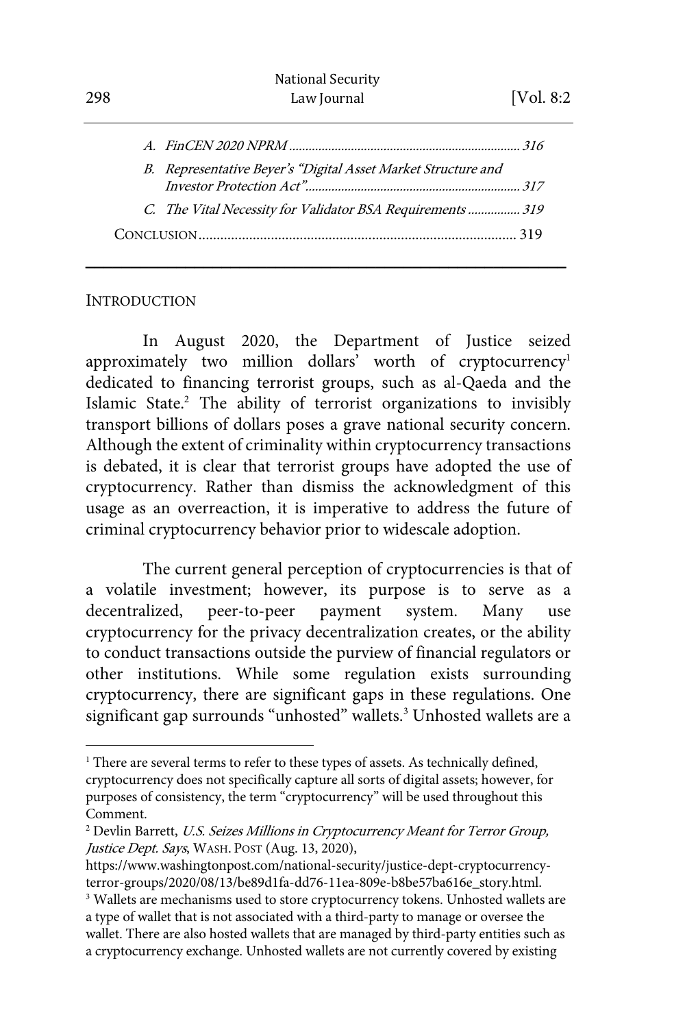|  | B. Representative Beyer's "Digital Asset Market Structure and |  |  |  |
|--|---------------------------------------------------------------|--|--|--|
|  |                                                               |  |  |  |
|  | C. The Vital Necessity for Validator BSA Requirements  319    |  |  |  |
|  |                                                               |  |  |  |

\_\_\_\_\_\_\_\_\_\_\_\_\_\_\_\_\_\_\_\_\_\_\_\_\_\_\_\_\_\_\_\_\_\_\_\_\_\_\_\_\_\_\_\_\_\_\_\_\_\_\_\_\_

#### **INTRODUCTION**

In August 2020, the Department of Justice seized approximately two million dollars' worth of cryptocurrency<sup>1</sup> dedicated to financing terrorist groups, such as al-Qaeda and the Islamic State.<sup>2</sup> The ability of terrorist organizations to invisibly transport billions of dollars poses a grave national security concern. Although the extent of criminality within cryptocurrency transactions is debated, it is clear that terrorist groups have adopted the use of cryptocurrency. Rather than dismiss the acknowledgment of this usage as an overreaction, it is imperative to address the future of criminal cryptocurrency behavior prior to widescale adoption.

The current general perception of cryptocurrencies is that of a volatile investment; however, its purpose is to serve as a decentralized, peer-to-peer payment system. Many use cryptocurrency for the privacy decentralization creates, or the ability to conduct transactions outside the purview of financial regulators or other institutions. While some regulation exists surrounding cryptocurrency, there are significant gaps in these regulations. One significant gap surrounds "unhosted" wallets.<sup>3</sup> Unhosted wallets are a

<sup>&</sup>lt;sup>1</sup> There are several terms to refer to these types of assets. As technically defined, cryptocurrency does not specifically capture all sorts of digital assets; however, for purposes of consistency, the term "cryptocurrency" will be used throughout this Comment.

<sup>&</sup>lt;sup>2</sup> Devlin Barrett, *U.S. Seizes Millions in Cryptocurrency Meant for Terror Group*, Justice Dept. Says, WASH. POST (Aug. 13, 2020),

https://www.washingtonpost.com/national-security/justice-dept-cryptocurrencyterror-groups/2020/08/13/be89d1fa-dd76-11ea-809e-b8be57ba616e\_story.html. 3

<sup>&</sup>lt;sup>3</sup> Wallets are mechanisms used to store cryptocurrency tokens. Unhosted wallets are a type of wallet that is not associated with a third-party to manage or oversee the wallet. There are also hosted wallets that are managed by third-party entities such as a cryptocurrency exchange. Unhosted wallets are not currently covered by existing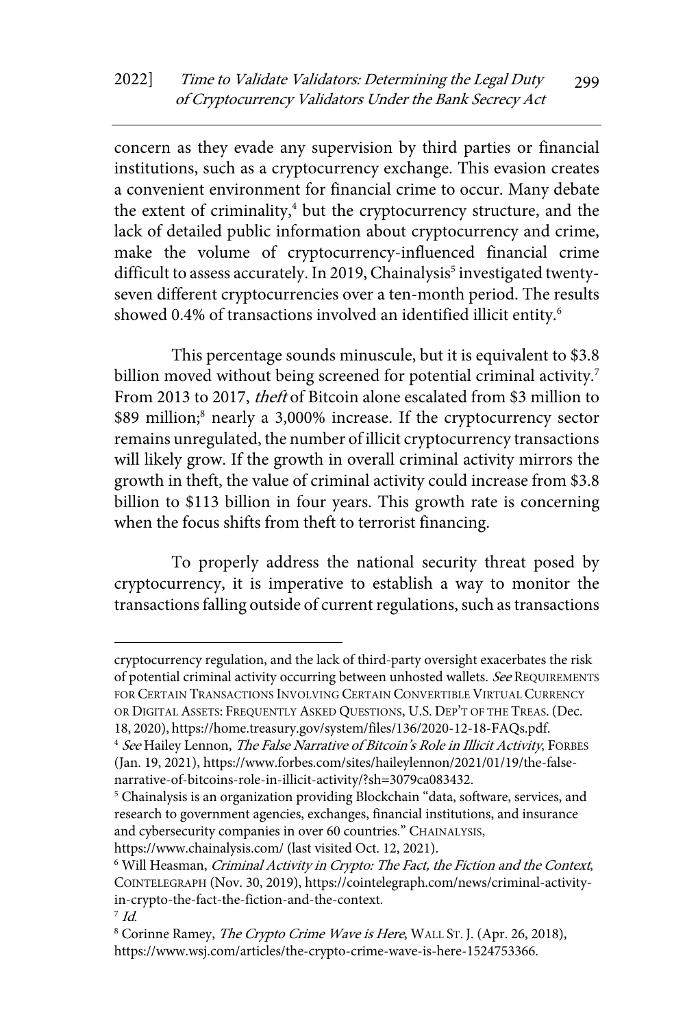concern as they evade any supervision by third parties or financial institutions, such as a cryptocurrency exchange. This evasion creates a convenient environment for financial crime to occur. Many debate the extent of criminality,<sup>4</sup> but the cryptocurrency structure, and the lack of detailed public information about cryptocurrency and crime, make the volume of cryptocurrency-influenced financial crime difficult to assess accurately. In 2019, Chainalysis<sup>5</sup> investigated twentyseven different cryptocurrencies over a ten-month period. The results showed 0.4% of transactions involved an identified illicit entity.<sup>6</sup>

This percentage sounds minuscule, but it is equivalent to \$3.8 billion moved without being screened for potential criminal activity.<sup>7</sup> From 2013 to 2017, theft of Bitcoin alone escalated from \$3 million to \$89 million;<sup>8</sup> nearly a 3,000% increase. If the cryptocurrency sector remains unregulated, the number of illicit cryptocurrency transactions will likely grow. If the growth in overall criminal activity mirrors the growth in theft, the value of criminal activity could increase from \$3.8 billion to \$113 billion in four years. This growth rate is concerning when the focus shifts from theft to terrorist financing.

To properly address the national security threat posed by cryptocurrency, it is imperative to establish a way to monitor the transactions falling outside of current regulations, such as transactions

cryptocurrency regulation, and the lack of third-party oversight exacerbates the risk of potential criminal activity occurring between unhosted wallets. See REQUIREMENTS FOR CERTAIN TRANSACTIONS INVOLVING CERTAIN CONVERTIBLE VIRTUAL CURRENCY OR DIGITAL ASSETS: FREQUENTLY ASKED QUESTIONS, U.S. DEP'T OF THE TREAS.(Dec. 18, 2020), https://home.treasury.gov/system/files/136/2020-12-18-FAQs.pdf.

<sup>&</sup>lt;sup>4</sup> See Hailey Lennon, The False Narrative of Bitcoin's Role in Illicit Activity, FORBES (Jan. 19, 2021), https://www.forbes.com/sites/haileylennon/2021/01/19/the-falsenarrative-of-bitcoins-role-in-illicit-activity/?sh=3079ca083432.<br><sup>5</sup> Chainalysis is an organization providing Blockchain "data, software, services, and

research to government agencies, exchanges, financial institutions, and insurance and cybersecurity companies in over 60 countries." CHAINALYSIS,

https://www.chainalysis.com/ (last visited Oct. 12, 2021).<br><sup>6</sup> Will Heasman, *Criminal Activity in Crypto: The Fact, the Fiction and the Context*, COINTELEGRAPH (Nov. 30, 2019), https://cointelegraph.com/news/criminal-activityin-crypto-the-fact-the-fiction-and-the-context.  $\frac{7}{1}$  Id.

<sup>&</sup>lt;sup>8</sup> Corinne Ramey, *The Crypto Crime Wave is Here*, WALL ST. J. (Apr. 26, 2018), https://www.wsj.com/articles/the-crypto-crime-wave-is-here-1524753366.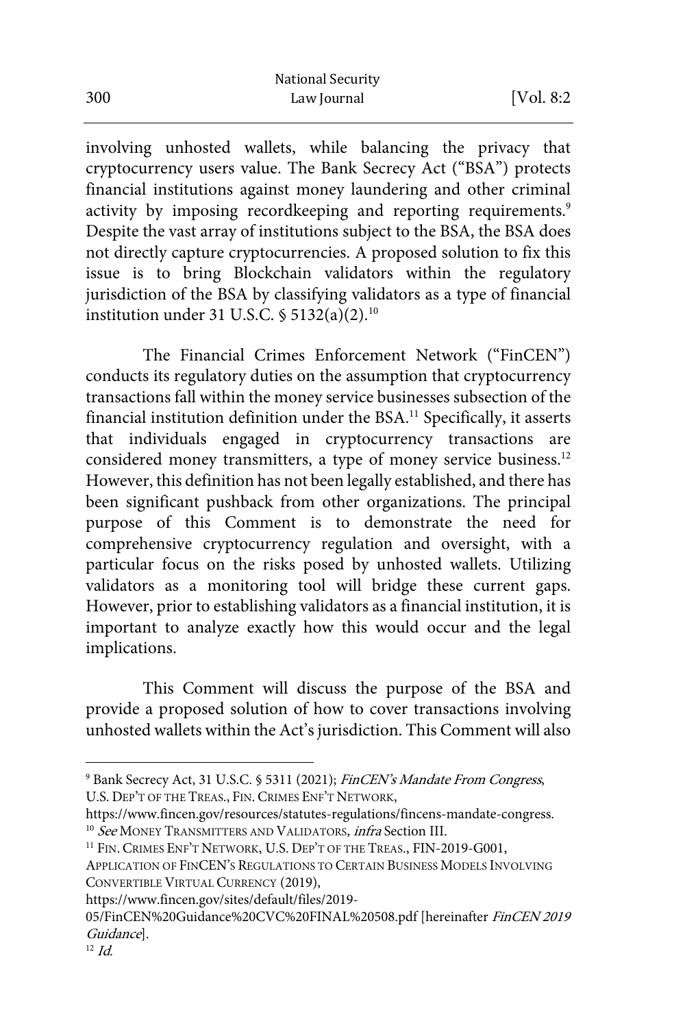involving unhosted wallets, while balancing the privacy that cryptocurrency users value. The Bank Secrecy Act ("BSA") protects financial institutions against money laundering and other criminal activity by imposing recordkeeping and reporting requirements.<sup>9</sup> Despite the vast array of institutions subject to the BSA, the BSA does not directly capture cryptocurrencies. A proposed solution to fix this issue is to bring Blockchain validators within the regulatory jurisdiction of the BSA by classifying validators as a type of financial institution under 31 U.S.C.  $\frac{5132(a)(2)^{10}}{2}$ 

The Financial Crimes Enforcement Network ("FinCEN") conducts its regulatory duties on the assumption that cryptocurrency transactions fall within the money service businesses subsection of the financial institution definition under the BSA.<sup>11</sup> Specifically, it asserts that individuals engaged in cryptocurrency transactions are considered money transmitters, a type of money service business.<sup>12</sup> However, this definition has not been legally established, and there has been significant pushback from other organizations. The principal purpose of this Comment is to demonstrate the need for comprehensive cryptocurrency regulation and oversight, with a particular focus on the risks posed by unhosted wallets. Utilizing validators as a monitoring tool will bridge these current gaps. However, prior to establishing validators as a financial institution, it is important to analyze exactly how this would occur and the legal implications.

This Comment will discuss the purpose of the BSA and provide a proposed solution of how to cover transactions involving unhosted wallets within the Act's jurisdiction. This Comment will also

https://www.fincen.gov/sites/default/files/2019-

<sup>&</sup>lt;sup>9</sup> Bank Secrecy Act, 31 U.S.C. § 5311 (2021); FinCEN's Mandate From Congress, U.S. DEP'T OF THE TREAS., FIN. CRIMES ENF'T NETWORK,

https://www.fincen.gov/resources/statutes-regulations/fincens-mandate-congress.<br><sup>10</sup> See MONEY TRANSMITTERS AND VALIDATORS, *infra* Section III.

<sup>&</sup>lt;sup>11</sup> FIN. CRIMES ENF'T NETWORK, U.S. DEP'T OF THE TREAS., FIN-2019-G001,

APPLICATION OF FINCEN'S REGULATIONS TO CERTAIN BUSINESS MODELS INVOLVING CONVERTIBLE VIRTUAL CURRENCY (2019),

<sup>05/</sup>FinCEN%20Guidance%20CVC%20FINAL%20508.pdf [hereinafter FinCEN 2019 Guidance].<br><sup>12</sup> Id.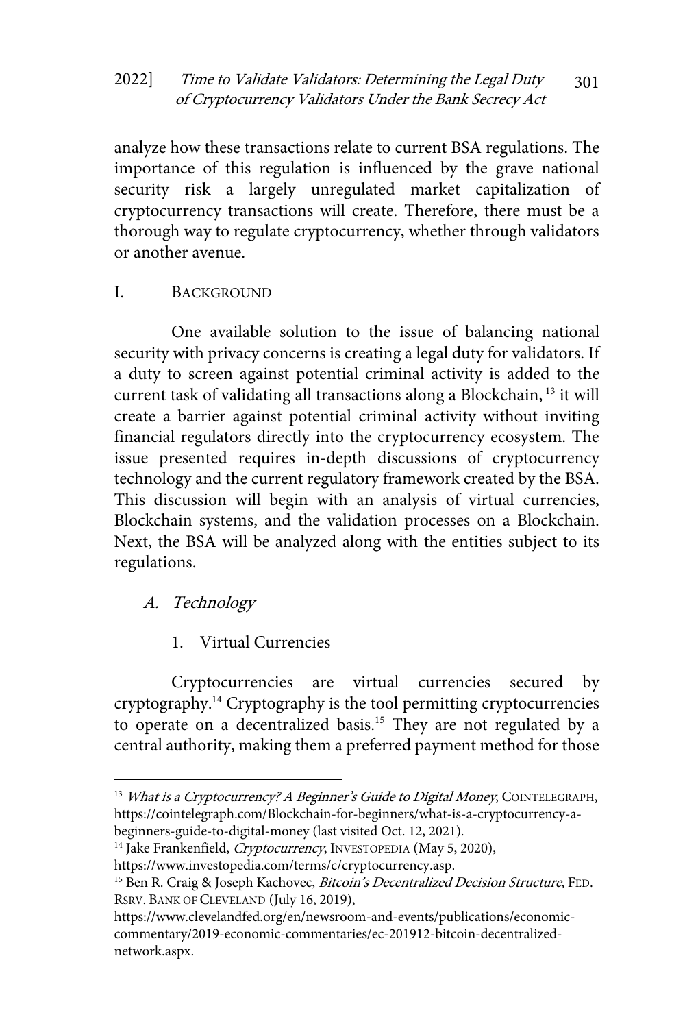analyze how these transactions relate to current BSA regulations. The importance of this regulation is influenced by the grave national security risk a largely unregulated market capitalization of cryptocurrency transactions will create. Therefore, there must be a thorough way to regulate cryptocurrency, whether through validators or another avenue.

## I. BACKGROUND

One available solution to the issue of balancing national security with privacy concerns is creating a legal duty for validators. If a duty to screen against potential criminal activity is added to the current task of validating all transactions along a Blockchain, <sup>13</sup> it will create a barrier against potential criminal activity without inviting financial regulators directly into the cryptocurrency ecosystem. The issue presented requires in-depth discussions of cryptocurrency technology and the current regulatory framework created by the BSA. This discussion will begin with an analysis of virtual currencies, Blockchain systems, and the validation processes on a Blockchain. Next, the BSA will be analyzed along with the entities subject to its regulations.

## A. Technology

## 1. Virtual Currencies

Cryptocurrencies are virtual currencies secured by cryptography.<sup>14</sup> Cryptography is the tool permitting cryptocurrencies to operate on a decentralized basis.<sup>15</sup> They are not regulated by a central authority, making them a preferred payment method for those

<sup>&</sup>lt;sup>13</sup> What is a Cryptocurrency? A Beginner's Guide to Digital Money, COINTELEGRAPH, https://cointelegraph.com/Blockchain-for-beginners/what-is-a-cryptocurrency-a-

beginners-guide-to-digital-money (last visited Oct. 12, 2021).<br><sup>14</sup> Jake Frankenfield, *Cryptocurrency*, INVESTOPEDIA (May 5, 2020),

https://www.investopedia.com/terms/c/cryptocurrency.asp.

<sup>&</sup>lt;sup>15</sup> Ben R. Craig & Joseph Kachovec, *Bitcoin's Decentralized Decision Structure*, FED. RSRV. BANK OF CLEVELAND (July 16, 2019),

https://www.clevelandfed.org/en/newsroom-and-events/publications/economiccommentary/2019-economic-commentaries/ec-201912-bitcoin-decentralizednetwork.aspx.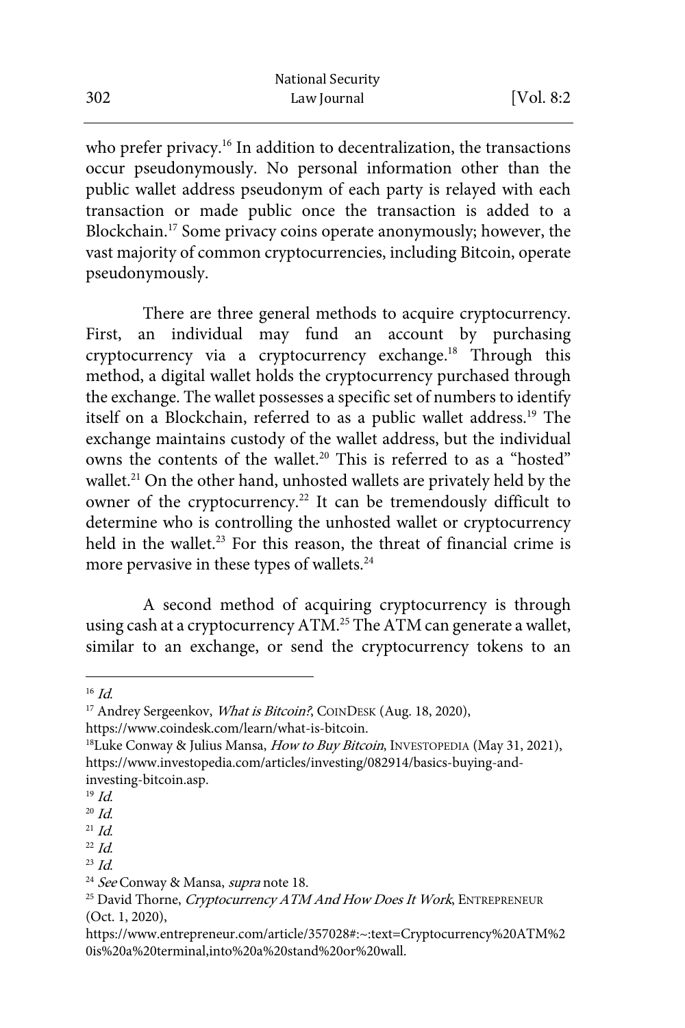who prefer privacy.<sup>16</sup> In addition to decentralization, the transactions occur pseudonymously. No personal information other than the public wallet address pseudonym of each party is relayed with each transaction or made public once the transaction is added to a Blockchain.17 Some privacy coins operate anonymously; however, the vast majority of common cryptocurrencies, including Bitcoin, operate pseudonymously.

There are three general methods to acquire cryptocurrency. First, an individual may fund an account by purchasing cryptocurrency via a cryptocurrency exchange.<sup>18</sup> Through this method, a digital wallet holds the cryptocurrency purchased through the exchange. The wallet possesses a specific set of numbers to identify itself on a Blockchain, referred to as a public wallet address.<sup>19</sup> The exchange maintains custody of the wallet address, but the individual owns the contents of the wallet.<sup>20</sup> This is referred to as a "hosted" wallet.<sup>21</sup> On the other hand, unhosted wallets are privately held by the owner of the cryptocurrency.<sup>22</sup> It can be tremendously difficult to determine who is controlling the unhosted wallet or cryptocurrency held in the wallet.<sup>23</sup> For this reason, the threat of financial crime is more pervasive in these types of wallets.<sup>24</sup>

A second method of acquiring cryptocurrency is through using cash at a cryptocurrency ATM.25 The ATM can generate a wallet, similar to an exchange, or send the cryptocurrency tokens to an

<sup>&</sup>lt;sup>16</sup> Id.<br><sup>17</sup> Andrey Sergeenkov, *What is Bitcoin?*, COINDESK (Aug. 18, 2020),

https://www.coindesk.com/learn/what-is-bitcoin.<br><sup>18</sup>Luke Conway & Julius Mansa, *How to Buy Bitcoin*, INVESTOPEDIA (May 31, 2021), https://www.investopedia.com/articles/investing/082914/basics-buying-andinvesting-bitcoin.asp.  $^{19}$  *Id.* 

 $\frac{^{20} \, Id.}{^{21} \, Id.}$ 

 $^{22}$  Id.

 $^{23}$  *Id.* 

<sup>&</sup>lt;sup>24</sup> See Conway & Mansa, supra note 18.

<sup>&</sup>lt;sup>25</sup> David Thorne, Cryptocurrency ATM And How Does It Work, ENTREPRENEUR (Oct. 1, 2020),

https://www.entrepreneur.com/article/357028#:~:text=Cryptocurrency%20ATM%2 0is%20a%20terminal,into%20a%20stand%20or%20wall.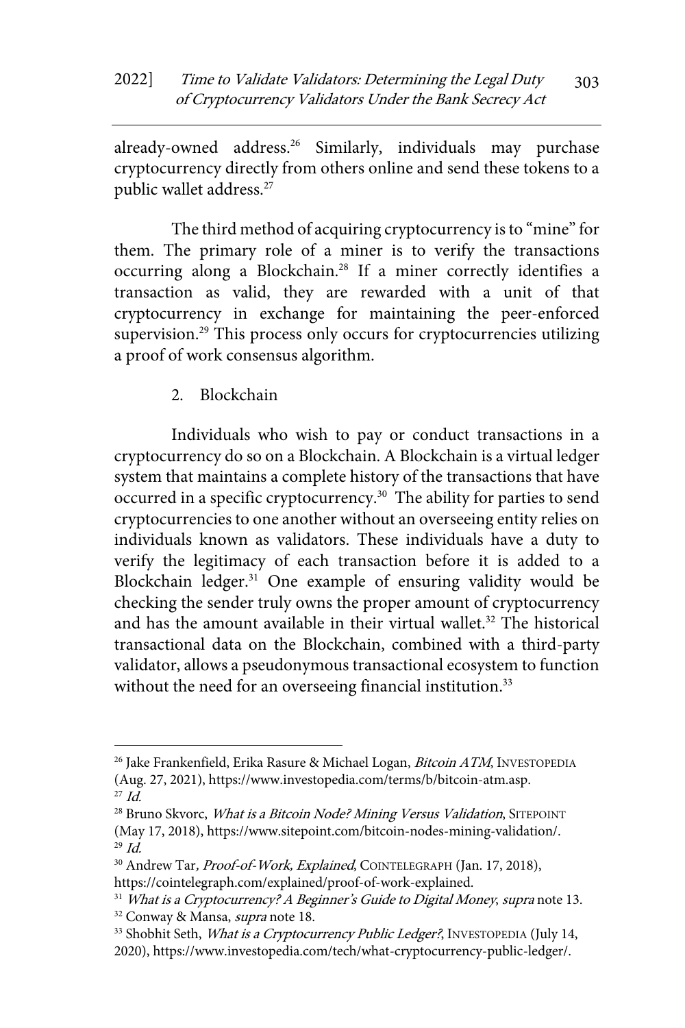already-owned address.<sup>26</sup> Similarly, individuals may purchase cryptocurrency directly from others online and send these tokens to a public wallet address.<sup>27</sup>

The third method of acquiring cryptocurrency is to "mine" for them. The primary role of a miner is to verify the transactions occurring along a Blockchain.28 If a miner correctly identifies a transaction as valid, they are rewarded with a unit of that cryptocurrency in exchange for maintaining the peer-enforced supervision.<sup>29</sup> This process only occurs for cryptocurrencies utilizing a proof of work consensus algorithm.

2. Blockchain

Individuals who wish to pay or conduct transactions in a cryptocurrency do so on a Blockchain. A Blockchain is a virtual ledger system that maintains a complete history of the transactions that have occurred in a specific cryptocurrency.<sup>30</sup> The ability for parties to send cryptocurrencies to one another without an overseeing entity relies on individuals known as validators. These individuals have a duty to verify the legitimacy of each transaction before it is added to a Blockchain ledger.<sup>31</sup> One example of ensuring validity would be checking the sender truly owns the proper amount of cryptocurrency and has the amount available in their virtual wallet.<sup>32</sup> The historical transactional data on the Blockchain, combined with a third-party validator, allows a pseudonymous transactional ecosystem to function without the need for an overseeing financial institution.<sup>33</sup>

 $^{26}$  Jake Frankenfield, Erika Rasure & Michael Logan, *Bitcoin ATM*, INVESTOPEDIA (Aug. 27, 2021), https://www.investopedia.com/terms/b/bitcoin-atm.asp.

<sup>27</sup> Id.

<sup>&</sup>lt;sup>28</sup> Bruno Skvorc, *What is a Bitcoin Node? Mining Versus Validation*, SITEPOINT (May 17, 2018), https://www.sitepoint.com/bitcoin-nodes-mining-validation/.<br><sup>29</sup> Id.

<sup>&</sup>lt;sup>30</sup> Andrew Tar, Proof-of-Work, Explained, COINTELEGRAPH (Jan. 17, 2018), https://cointelegraph.com/explained/proof-of-work-explained.

<sup>&</sup>lt;sup>31</sup> What is a Cryptocurrency? A Beginner's Guide to Digital Money, supra note 13.<br><sup>32</sup> Conway & Mansa, *supra* note 18.

<sup>33</sup> Shobhit Seth, What is a Cryptocurrency Public Ledger?, INVESTOPEDIA (July 14, 2020), https://www.investopedia.com/tech/what-cryptocurrency-public-ledger/.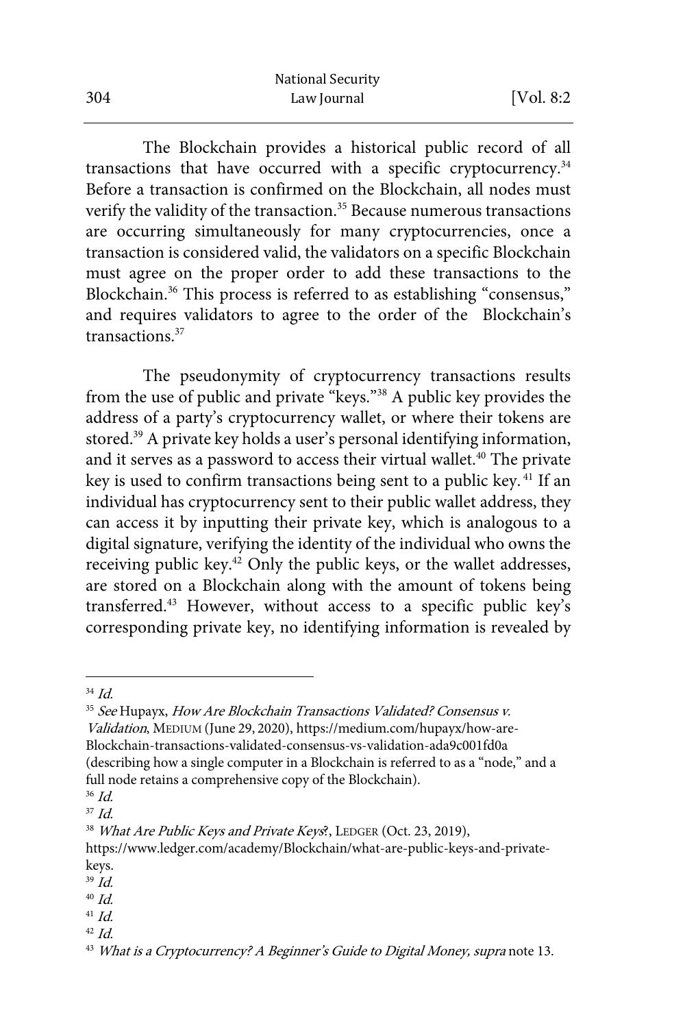The Blockchain provides a historical public record of all transactions that have occurred with a specific cryptocurrency.34 Before a transaction is confirmed on the Blockchain, all nodes must verify the validity of the transaction.<sup>35</sup> Because numerous transactions are occurring simultaneously for many cryptocurrencies, once a transaction is considered valid, the validators on a specific Blockchain must agree on the proper order to add these transactions to the Blockchain.<sup>36</sup> This process is referred to as establishing "consensus," and requires validators to agree to the order of the Blockchain's transactions.37

The pseudonymity of cryptocurrency transactions results from the use of public and private "keys."38 A public key provides the address of a party's cryptocurrency wallet, or where their tokens are stored.<sup>39</sup> A private key holds a user's personal identifying information, and it serves as a password to access their virtual wallet.<sup>40</sup> The private key is used to confirm transactions being sent to a public key. <sup>41</sup> If an individual has cryptocurrency sent to their public wallet address, they can access it by inputting their private key, which is analogous to a digital signature, verifying the identity of the individual who owns the receiving public key.<sup>42</sup> Only the public keys, or the wallet addresses, are stored on a Blockchain along with the amount of tokens being transferred.43 However, without access to a specific public key's corresponding private key, no identifying information is revealed by

- 39 Id.
- $40$   $Id.$
- $41$  *Id.*
- $42$  *Id.*

<sup>34</sup> Id.

<sup>&</sup>lt;sup>35</sup> See Hupayx, How Are Blockchain Transactions Validated? Consensus v. Validation, MEDIUM (June 29, 2020), https://medium.com/hupayx/how-are-Blockchain-transactions-validated-consensus-vs-validation-ada9c001fd0a (describing how a single computer in a Blockchain is referred to as a "node," and a full node retains a comprehensive copy of the Blockchain).

<sup>36</sup> Id.

 $37$  Id.

<sup>&</sup>lt;sup>38</sup> What Are Public Keys and Private Keys?, LEDGER (Oct. 23, 2019),

https://www.ledger.com/academy/Blockchain/what-are-public-keys-and-privatekeys.

<sup>&</sup>lt;sup>43</sup> What is a Cryptocurrency? A Beginner's Guide to Digital Money, supra note 13.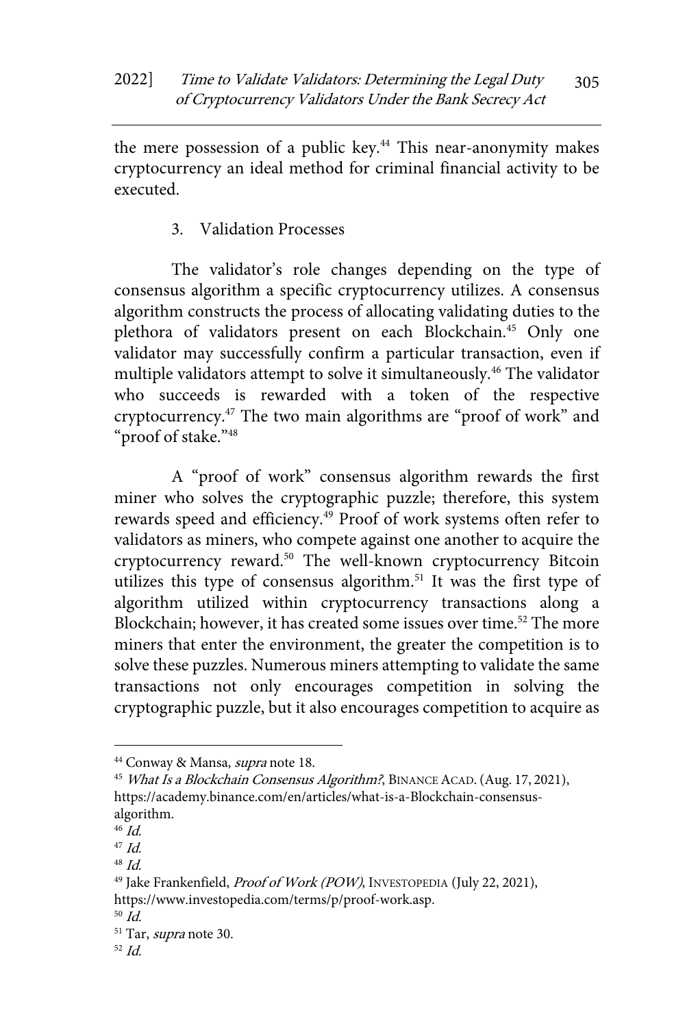the mere possession of a public key.<sup>44</sup> This near-anonymity makes cryptocurrency an ideal method for criminal financial activity to be executed.

3. Validation Processes

The validator's role changes depending on the type of consensus algorithm a specific cryptocurrency utilizes. A consensus algorithm constructs the process of allocating validating duties to the plethora of validators present on each Blockchain.<sup>45</sup> Only one validator may successfully confirm a particular transaction, even if multiple validators attempt to solve it simultaneously.<sup>46</sup> The validator who succeeds is rewarded with a token of the respective cryptocurrency.47 The two main algorithms are "proof of work" and "proof of stake."48

A "proof of work" consensus algorithm rewards the first miner who solves the cryptographic puzzle; therefore, this system rewards speed and efficiency.<sup>49</sup> Proof of work systems often refer to validators as miners, who compete against one another to acquire the cryptocurrency reward.50 The well-known cryptocurrency Bitcoin utilizes this type of consensus algorithm.<sup>51</sup> It was the first type of algorithm utilized within cryptocurrency transactions along a Blockchain; however, it has created some issues over time.<sup>52</sup> The more miners that enter the environment, the greater the competition is to solve these puzzles. Numerous miners attempting to validate the same transactions not only encourages competition in solving the cryptographic puzzle, but it also encourages competition to acquire as

<sup>&</sup>lt;sup>44</sup> Conway & Mansa, *supra* note 18.<br><sup>45</sup> *What Is a Blockchain Consensus Algorithm?*, BINANCE ACAD. (Aug. 17, 2021), https://academy.binance.com/en/articles/what-is-a-Blockchain-consensusalgorithm.

 $46$  Id.

 $47$  Id.

<sup>48</sup> Id.

<sup>&</sup>lt;sup>49</sup> Jake Frankenfield, Proof of Work (POW), INVESTOPEDIA (July 22, 2021), https://www.investopedia.com/terms/p/proof-work.asp.<br><sup>50</sup> Id.

<sup>&</sup>lt;sup>51</sup> Tar, *supra* note 30.

 $52$  Id.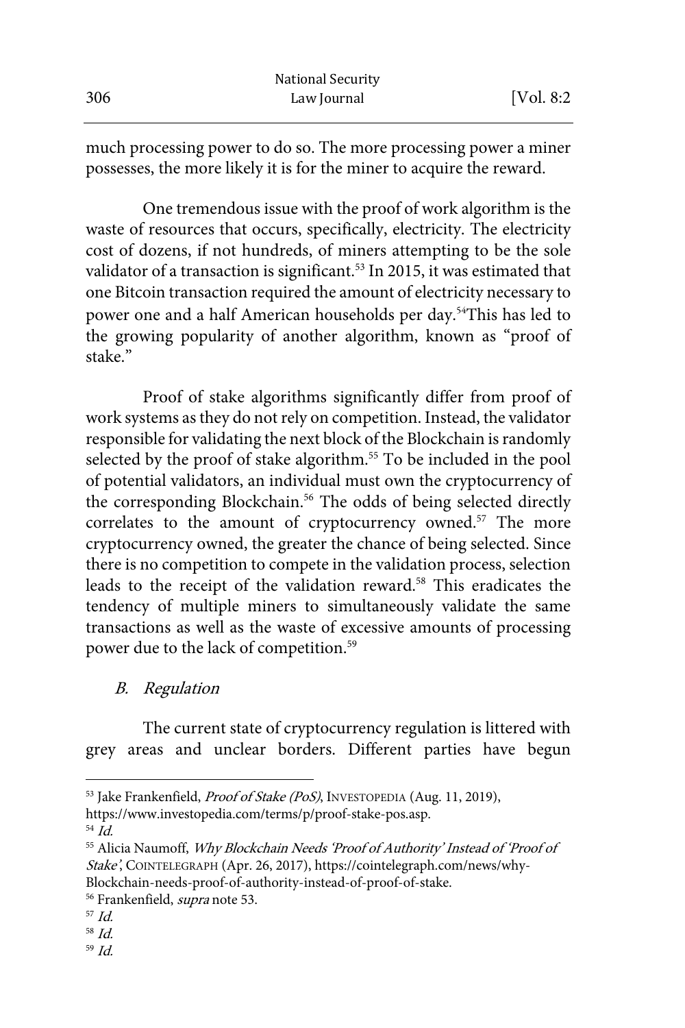much processing power to do so. The more processing power a miner possesses, the more likely it is for the miner to acquire the reward.

One tremendous issue with the proof of work algorithm is the waste of resources that occurs, specifically, electricity. The electricity cost of dozens, if not hundreds, of miners attempting to be the sole validator of a transaction is significant.<sup>53</sup> In 2015, it was estimated that one Bitcoin transaction required the amount of electricity necessary to power one and a half American households per day.<sup>54</sup>This has led to the growing popularity of another algorithm, known as "proof of stake"

Proof of stake algorithms significantly differ from proof of work systems as they do not rely on competition. Instead, the validator responsible for validating the next block of the Blockchain is randomly selected by the proof of stake algorithm.<sup>55</sup> To be included in the pool of potential validators, an individual must own the cryptocurrency of the corresponding Blockchain.<sup>56</sup> The odds of being selected directly correlates to the amount of cryptocurrency owned.<sup>57</sup> The more cryptocurrency owned, the greater the chance of being selected. Since there is no competition to compete in the validation process, selection leads to the receipt of the validation reward.<sup>58</sup> This eradicates the tendency of multiple miners to simultaneously validate the same transactions as well as the waste of excessive amounts of processing power due to the lack of competition.59

B. Regulation

The current state of cryptocurrency regulation is littered with grey areas and unclear borders. Different parties have begun

- 
- 58 Id.
- 59 Id.

<sup>&</sup>lt;sup>53</sup> Jake Frankenfield, Proof of Stake (PoS), INVESTOPEDIA (Aug. 11, 2019),

https://www.investopedia.com/terms/p/proof-stake-pos.asp.

<sup>54</sup> Id.

<sup>&</sup>lt;sup>55</sup> Alicia Naumoff, Why Blockchain Needs 'Proof of Authority' Instead of 'Proof of Stake', COINTELEGRAPH (Apr. 26, 2017), https://cointelegraph.com/news/why-Blockchain-needs-proof-of-authority-instead-of-proof-of-stake. 56 Frankenfield, *supra* note 53. 57 *Id.*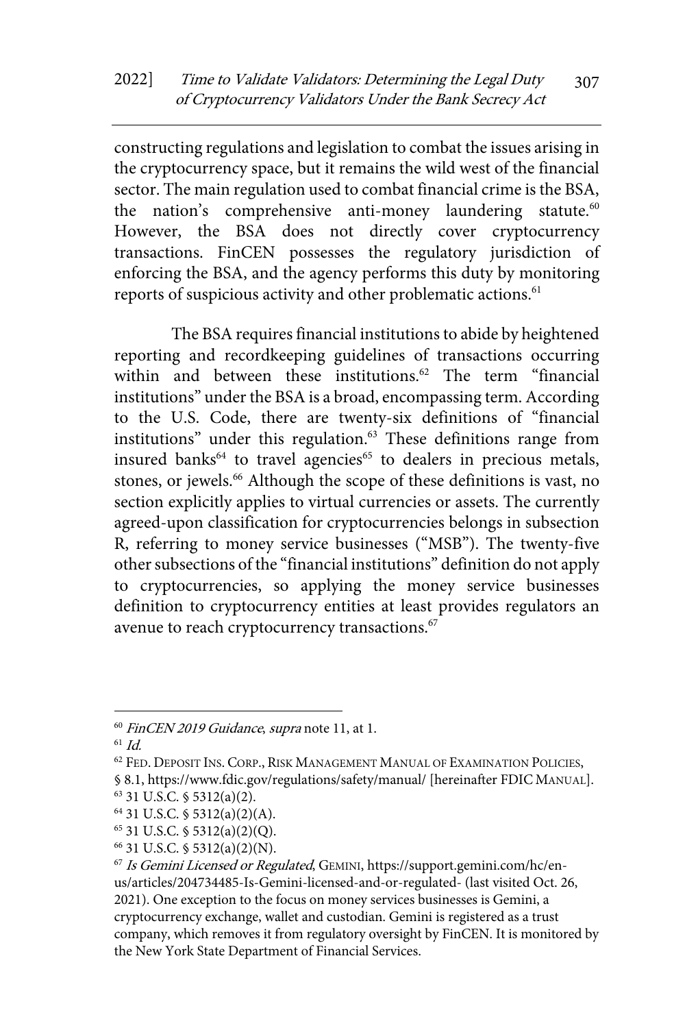constructing regulations and legislation to combat the issues arising in the cryptocurrency space, but it remains the wild west of the financial sector. The main regulation used to combat financial crime is the BSA, the nation's comprehensive anti-money laundering statute.<sup>60</sup> However, the BSA does not directly cover cryptocurrency transactions. FinCEN possesses the regulatory jurisdiction of enforcing the BSA, and the agency performs this duty by monitoring reports of suspicious activity and other problematic actions.<sup>61</sup>

The BSA requires financial institutions to abide by heightened reporting and recordkeeping guidelines of transactions occurring within and between these institutions.<sup>62</sup> The term "financial institutions" under the BSA is a broad, encompassing term. According to the U.S. Code, there are twenty-six definitions of "financial institutions" under this regulation. $63$  These definitions range from insured banks<sup>64</sup> to travel agencies<sup>65</sup> to dealers in precious metals, stones, or jewels.<sup>66</sup> Although the scope of these definitions is vast, no section explicitly applies to virtual currencies or assets. The currently agreed-upon classification for cryptocurrencies belongs in subsection R, referring to money service businesses ("MSB"). The twenty-five other subsections of the "financial institutions" definition do not apply to cryptocurrencies, so applying the money service businesses definition to cryptocurrency entities at least provides regulators an avenue to reach cryptocurrency transactions.<sup>67</sup>

<sup>&</sup>lt;sup>60</sup> FinCEN 2019 Guidance, supra note 11, at 1.

 $61$  Id.

<sup>62</sup> FED. DEPOSIT INS. CORP., RISK MANAGEMENT MANUAL OF EXAMINATION POLICIES,

<sup>§ 8.1,</sup> https://www.fdic.gov/regulations/safety/manual/ [hereinafter FDIC MANUAL]. <sup>63</sup> 31 U.S.C. § 5312(a)(2).

<sup>64</sup> 31 U.S.C. § 5312(a)(2)(A).

<sup>65</sup> 31 U.S.C. § 5312(a)(2)(Q).

<sup>66</sup> 31 U.S.C. § 5312(a)(2)(N).

 $67$  Is Gemini Licensed or Regulated, GEMINI, https://support.gemini.com/hc/enus/articles/204734485-Is-Gemini-licensed-and-or-regulated- (last visited Oct. 26, 2021). One exception to the focus on money services businesses is Gemini, a cryptocurrency exchange, wallet and custodian. Gemini is registered as a trust company, which removes it from regulatory oversight by FinCEN. It is monitored by the New York State Department of Financial Services.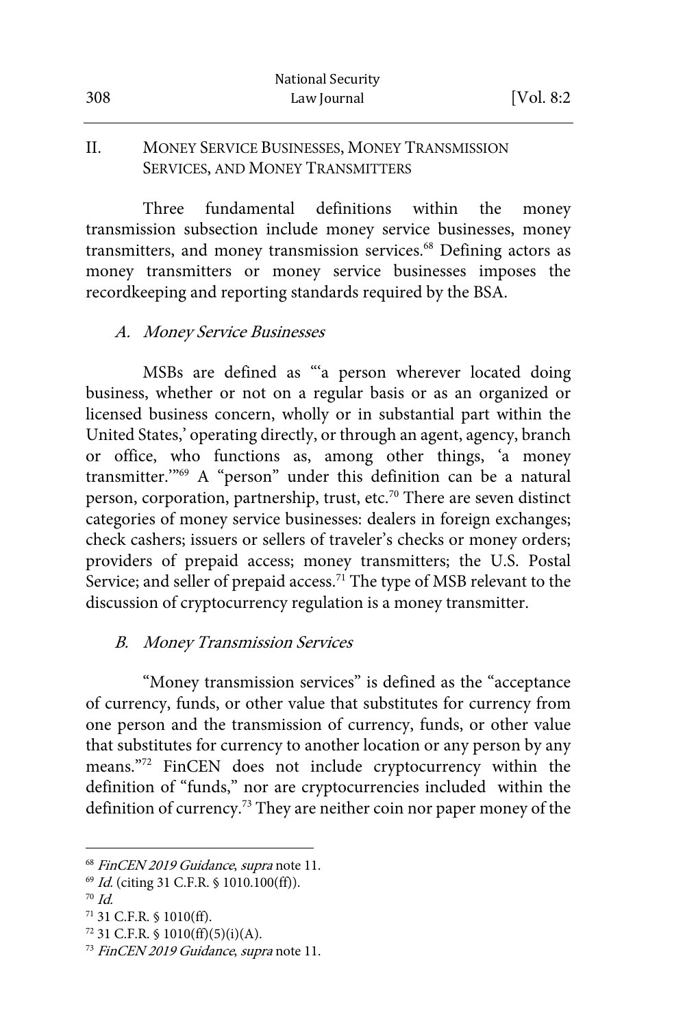#### II. MONEY SERVICE BUSINESSES, MONEY TRANSMISSION SERVICES, AND MONEY TRANSMITTERS

Three fundamental definitions within the money transmission subsection include money service businesses, money transmitters, and money transmission services.<sup>68</sup> Defining actors as money transmitters or money service businesses imposes the recordkeeping and reporting standards required by the BSA.

#### A. Money Service Businesses

MSBs are defined as "'a person wherever located doing business, whether or not on a regular basis or as an organized or licensed business concern, wholly or in substantial part within the United States,' operating directly, or through an agent, agency, branch or office, who functions as, among other things, 'a money transmitter.'"69 A "person" under this definition can be a natural person, corporation, partnership, trust, etc.<sup>70</sup> There are seven distinct categories of money service businesses: dealers in foreign exchanges; check cashers; issuers or sellers of traveler's checks or money orders; providers of prepaid access; money transmitters; the U.S. Postal Service; and seller of prepaid access.<sup>71</sup> The type of MSB relevant to the discussion of cryptocurrency regulation is a money transmitter.

## B. Money Transmission Services

"Money transmission services" is defined as the "acceptance of currency, funds, or other value that substitutes for currency from one person and the transmission of currency, funds, or other value that substitutes for currency to another location or any person by any means."72 FinCEN does not include cryptocurrency within the definition of "funds," nor are cryptocurrencies included within the definition of currency.<sup>73</sup> They are neither coin nor paper money of the

 $72$  31 C.F.R. § 1010(ff)(5)(i)(A).

<sup>&</sup>lt;sup>68</sup> FinCEN 2019 Guidance, supra note 11.<br><sup>69</sup> Id. (citing 31 C.F.R. § 1010.100(ff)).<br><sup>70</sup> Id.

<sup>71</sup> 31 C.F.R. § 1010(ff).

<sup>&</sup>lt;sup>73</sup> FinCEN 2019 Guidance, supra note 11.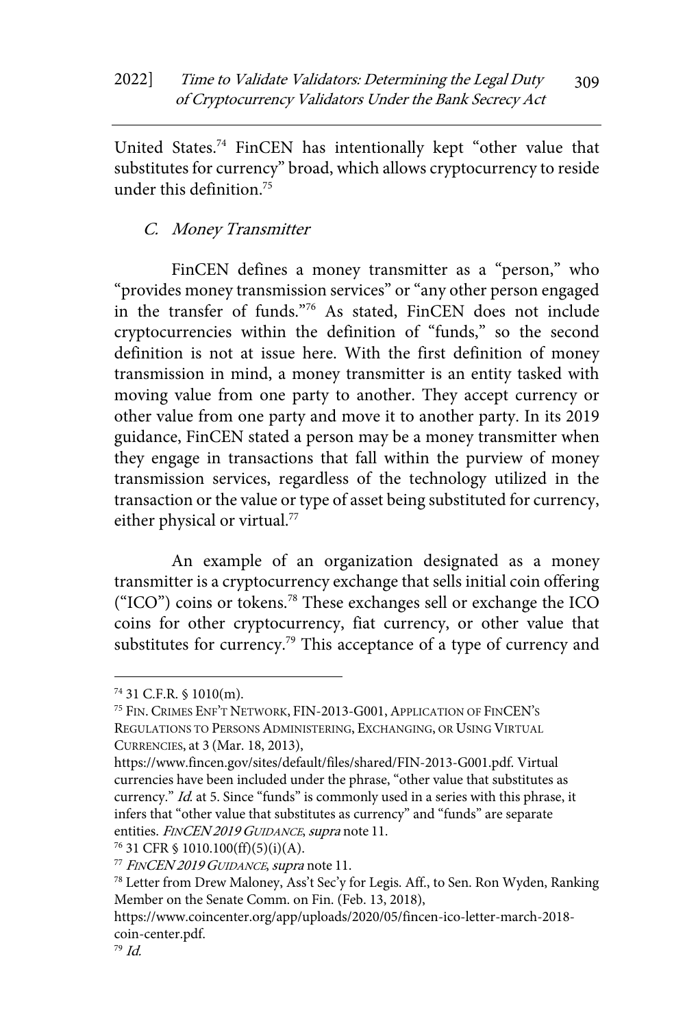United States.74 FinCEN has intentionally kept "other value that substitutes for currency" broad, which allows cryptocurrency to reside under this definition.75

C. Money Transmitter

FinCEN defines a money transmitter as a "person," who "provides money transmission services" or "any other person engaged in the transfer of funds."76 As stated, FinCEN does not include cryptocurrencies within the definition of "funds," so the second definition is not at issue here. With the first definition of money transmission in mind, a money transmitter is an entity tasked with moving value from one party to another. They accept currency or other value from one party and move it to another party. In its 2019 guidance, FinCEN stated a person may be a money transmitter when they engage in transactions that fall within the purview of money transmission services, regardless of the technology utilized in the transaction or the value or type of asset being substituted for currency, either physical or virtual.<sup>77</sup>

An example of an organization designated as a money transmitter is a cryptocurrency exchange that sells initial coin offering ("ICO") coins or tokens.78 These exchanges sell or exchange the ICO coins for other cryptocurrency, fiat currency, or other value that substitutes for currency.<sup>79</sup> This acceptance of a type of currency and

<sup>74</sup> 31 C.F.R. § 1010(m).

<sup>75</sup> FIN. CRIMES ENF'T NETWORK, FIN-2013-G001,APPLICATION OF FINCEN'S REGULATIONS TO PERSONS ADMINISTERING, EXCHANGING, OR USING VIRTUAL CURRENCIES, at 3 (Mar. 18, 2013),

https://www.fincen.gov/sites/default/files/shared/FIN-2013-G001.pdf. Virtual currencies have been included under the phrase, "other value that substitutes as currency." Id. at 5. Since "funds" is commonly used in a series with this phrase, it infers that "other value that substitutes as currency" and "funds" are separate entities. FINCEN 2019 GUIDANCE, supra note 11.

 $76$  31 CFR § 1010.100(ff)(5)(i)(A).

<sup>&</sup>lt;sup>77</sup> FINCEN 2019 GUIDANCE, supra note 11.

<sup>78</sup> Letter from Drew Maloney, Ass't Sec'y for Legis. Aff., to Sen. Ron Wyden, Ranking Member on the Senate Comm. on Fin. (Feb. 13, 2018),

https://www.coincenter.org/app/uploads/2020/05/fincen-ico-letter-march-2018 coin-center.pdf.<br><sup>79</sup> Id.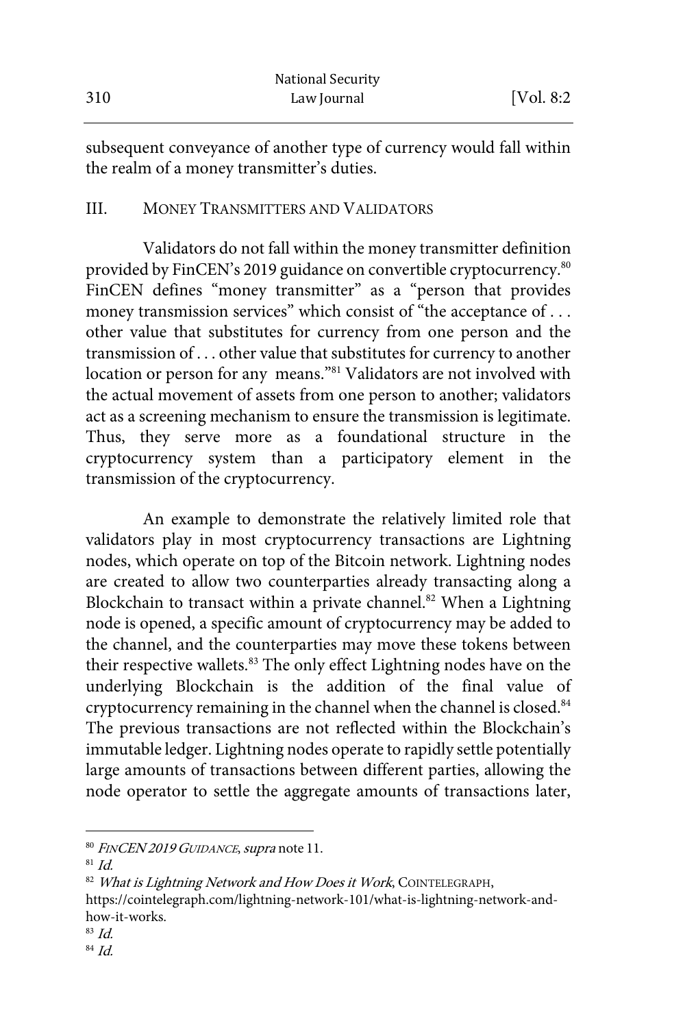|     | <b>National Security</b> |            |
|-----|--------------------------|------------|
| 310 | Law Journal              | [Vol. 8:2] |

subsequent conveyance of another type of currency would fall within the realm of a money transmitter's duties.

#### III. MONEY TRANSMITTERS AND VALIDATORS

Validators do not fall within the money transmitter definition provided by FinCEN's 2019 guidance on convertible cryptocurrency.<sup>80</sup> FinCEN defines "money transmitter" as a "person that provides money transmission services" which consist of "the acceptance of . . . other value that substitutes for currency from one person and the transmission of . . . other value that substitutes for currency to another location or person for any means."81 Validators are not involved with the actual movement of assets from one person to another; validators act as a screening mechanism to ensure the transmission is legitimate. Thus, they serve more as a foundational structure in the cryptocurrency system than a participatory element in the transmission of the cryptocurrency.

An example to demonstrate the relatively limited role that validators play in most cryptocurrency transactions are Lightning nodes, which operate on top of the Bitcoin network. Lightning nodes are created to allow two counterparties already transacting along a Blockchain to transact within a private channel.<sup>82</sup> When a Lightning node is opened, a specific amount of cryptocurrency may be added to the channel, and the counterparties may move these tokens between their respective wallets.<sup>83</sup> The only effect Lightning nodes have on the underlying Blockchain is the addition of the final value of cryptocurrency remaining in the channel when the channel is closed.<sup>84</sup> The previous transactions are not reflected within the Blockchain's immutable ledger. Lightning nodes operate to rapidly settle potentially large amounts of transactions between different parties, allowing the node operator to settle the aggregate amounts of transactions later,

82 What is Lightning Network and How Does it Work, COINTELEGRAPH, https://cointelegraph.com/lightning-network-101/what-is-lightning-network-andhow-it-works.<br><sup>83</sup> Id.<br><sup>84</sup> Id.

- 
- 

<sup>80</sup> FINCEN 2019 GUIDANCE, supra note 11.

 $81$  *Id.*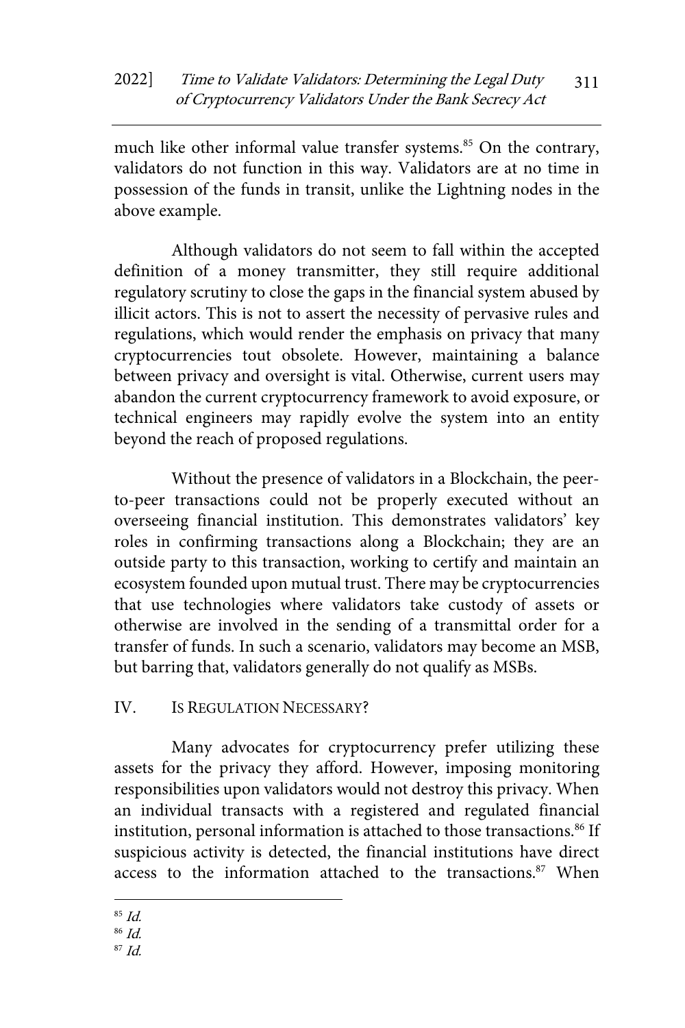much like other informal value transfer systems.<sup>85</sup> On the contrary, validators do not function in this way. Validators are at no time in possession of the funds in transit, unlike the Lightning nodes in the above example.

Although validators do not seem to fall within the accepted definition of a money transmitter, they still require additional regulatory scrutiny to close the gaps in the financial system abused by illicit actors. This is not to assert the necessity of pervasive rules and regulations, which would render the emphasis on privacy that many cryptocurrencies tout obsolete. However, maintaining a balance between privacy and oversight is vital. Otherwise, current users may abandon the current cryptocurrency framework to avoid exposure, or technical engineers may rapidly evolve the system into an entity beyond the reach of proposed regulations.

Without the presence of validators in a Blockchain, the peerto-peer transactions could not be properly executed without an overseeing financial institution. This demonstrates validators' key roles in confirming transactions along a Blockchain; they are an outside party to this transaction, working to certify and maintain an ecosystem founded upon mutual trust. There may be cryptocurrencies that use technologies where validators take custody of assets or otherwise are involved in the sending of a transmittal order for a transfer of funds. In such a scenario, validators may become an MSB, but barring that, validators generally do not qualify as MSBs.

## IV. IS REGULATION NECESSARY?

Many advocates for cryptocurrency prefer utilizing these assets for the privacy they afford. However, imposing monitoring responsibilities upon validators would not destroy this privacy. When an individual transacts with a registered and regulated financial institution, personal information is attached to those transactions.<sup>86</sup> If suspicious activity is detected, the financial institutions have direct access to the information attached to the transactions.<sup>87</sup> When

 $85$  Id.

 $86$  *Id.* 

 $87$  Id.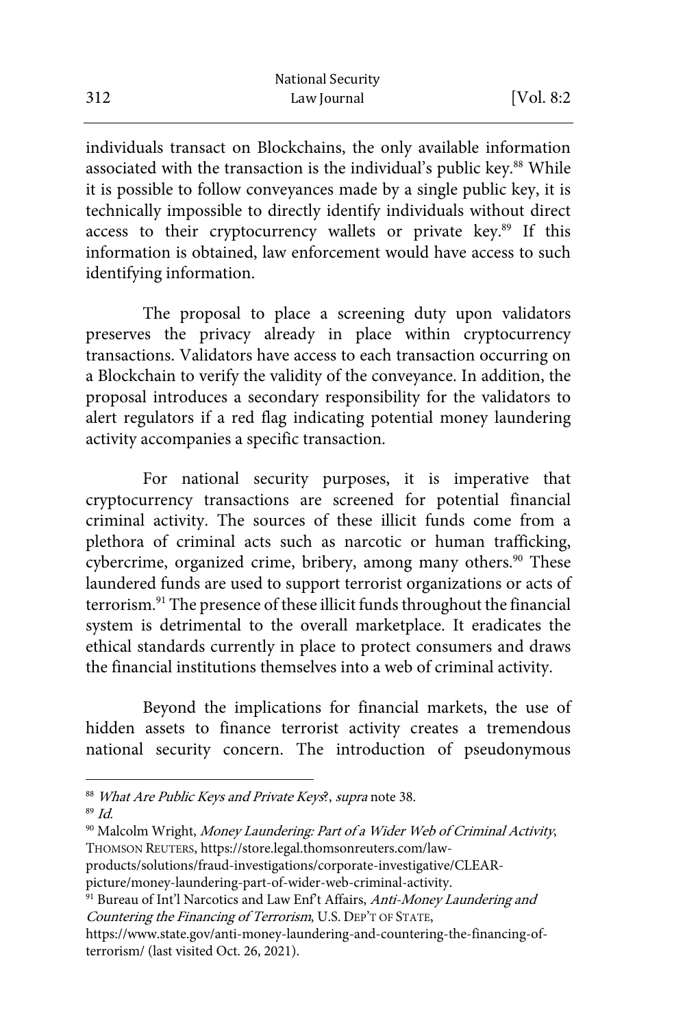individuals transact on Blockchains, the only available information associated with the transaction is the individual's public key.<sup>88</sup> While it is possible to follow conveyances made by a single public key, it is technically impossible to directly identify individuals without direct access to their cryptocurrency wallets or private key.89 If this information is obtained, law enforcement would have access to such identifying information.

The proposal to place a screening duty upon validators preserves the privacy already in place within cryptocurrency transactions. Validators have access to each transaction occurring on a Blockchain to verify the validity of the conveyance. In addition, the proposal introduces a secondary responsibility for the validators to alert regulators if a red flag indicating potential money laundering activity accompanies a specific transaction.

For national security purposes, it is imperative that cryptocurrency transactions are screened for potential financial criminal activity. The sources of these illicit funds come from a plethora of criminal acts such as narcotic or human trafficking, cybercrime, organized crime, bribery, among many others.<sup>90</sup> These laundered funds are used to support terrorist organizations or acts of terrorism.91 The presence of these illicit funds throughout the financial system is detrimental to the overall marketplace. It eradicates the ethical standards currently in place to protect consumers and draws the financial institutions themselves into a web of criminal activity.

Beyond the implications for financial markets, the use of hidden assets to finance terrorist activity creates a tremendous national security concern. The introduction of pseudonymous

<sup>&</sup>lt;sup>88</sup> What Are Public Keys and Private Keys<sup>2</sup>, supra note 38.<br><sup>89</sup> Id

<sup>&</sup>lt;sup>90</sup> Malcolm Wright, Money Laundering: Part of a Wider Web of Criminal Activity, THOMSON REUTERS, https://store.legal.thomsonreuters.com/law-

products/solutions/fraud-investigations/corporate-investigative/CLEAR-

picture/money-laundering-part-of-wider-web-criminal-activity.

<sup>&</sup>lt;sup>91</sup> Bureau of Int'l Narcotics and Law Enf't Affairs, Anti-Money Laundering and Countering the Financing of Terrorism, U.S. DEP'T OF STATE,

https://www.state.gov/anti-money-laundering-and-countering-the-financing-ofterrorism/ (last visited Oct. 26, 2021).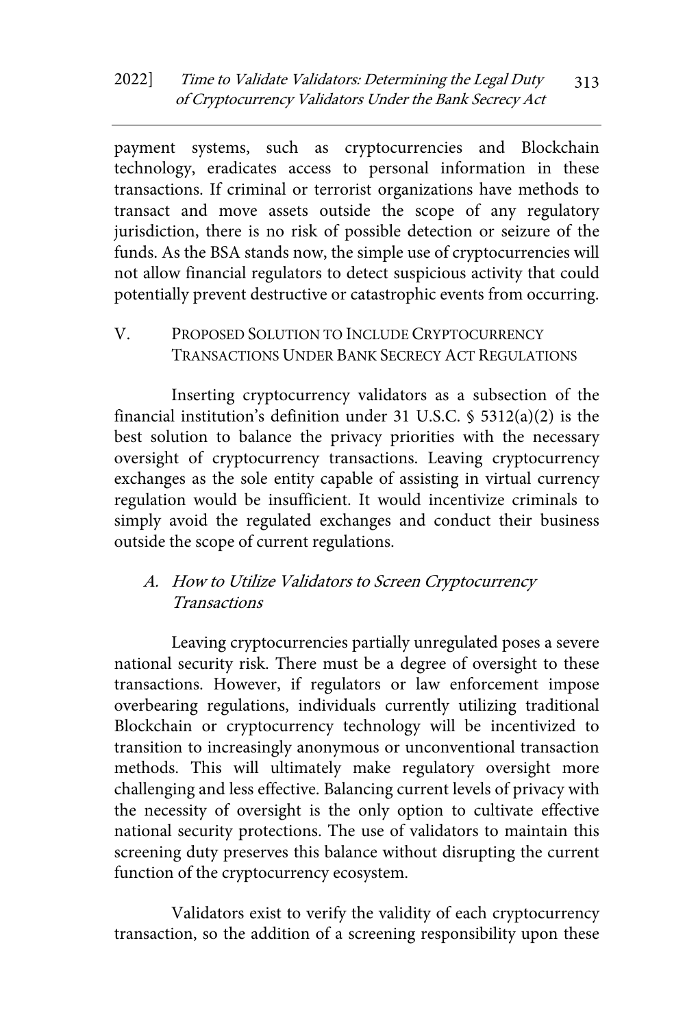payment systems, such as cryptocurrencies and Blockchain technology, eradicates access to personal information in these transactions. If criminal or terrorist organizations have methods to transact and move assets outside the scope of any regulatory jurisdiction, there is no risk of possible detection or seizure of the funds. As the BSA stands now, the simple use of cryptocurrencies will not allow financial regulators to detect suspicious activity that could potentially prevent destructive or catastrophic events from occurring.

V. PROPOSED SOLUTION TO INCLUDE CRYPTOCURRENCY TRANSACTIONS UNDER BANK SECRECY ACT REGULATIONS

Inserting cryptocurrency validators as a subsection of the financial institution's definition under 31 U.S.C. § 5312(a)(2) is the best solution to balance the privacy priorities with the necessary oversight of cryptocurrency transactions. Leaving cryptocurrency exchanges as the sole entity capable of assisting in virtual currency regulation would be insufficient. It would incentivize criminals to simply avoid the regulated exchanges and conduct their business outside the scope of current regulations.

## A. How to Utilize Validators to Screen Cryptocurrency Transactions

Leaving cryptocurrencies partially unregulated poses a severe national security risk. There must be a degree of oversight to these transactions. However, if regulators or law enforcement impose overbearing regulations, individuals currently utilizing traditional Blockchain or cryptocurrency technology will be incentivized to transition to increasingly anonymous or unconventional transaction methods. This will ultimately make regulatory oversight more challenging and less effective. Balancing current levels of privacy with the necessity of oversight is the only option to cultivate effective national security protections. The use of validators to maintain this screening duty preserves this balance without disrupting the current function of the cryptocurrency ecosystem.

Validators exist to verify the validity of each cryptocurrency transaction, so the addition of a screening responsibility upon these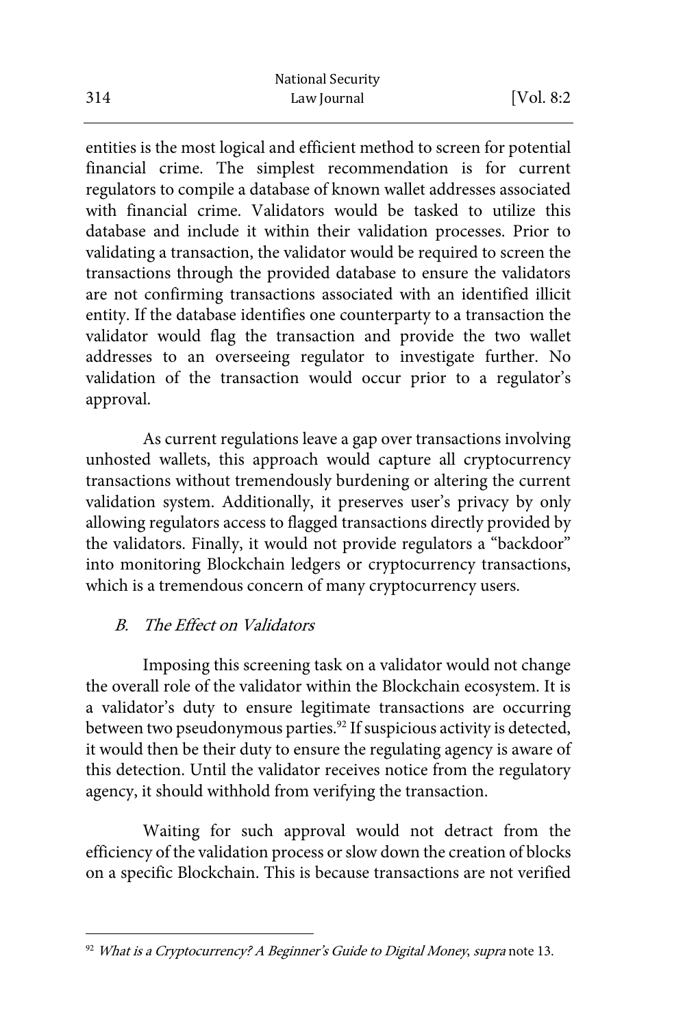entities is the most logical and efficient method to screen for potential financial crime. The simplest recommendation is for current regulators to compile a database of known wallet addresses associated with financial crime. Validators would be tasked to utilize this database and include it within their validation processes. Prior to validating a transaction, the validator would be required to screen the transactions through the provided database to ensure the validators are not confirming transactions associated with an identified illicit entity. If the database identifies one counterparty to a transaction the validator would flag the transaction and provide the two wallet addresses to an overseeing regulator to investigate further. No validation of the transaction would occur prior to a regulator's approval.

As current regulations leave a gap over transactions involving unhosted wallets, this approach would capture all cryptocurrency transactions without tremendously burdening or altering the current validation system. Additionally, it preserves user's privacy by only allowing regulators access to flagged transactions directly provided by the validators. Finally, it would not provide regulators a "backdoor" into monitoring Blockchain ledgers or cryptocurrency transactions, which is a tremendous concern of many cryptocurrency users.

## B. The Effect on Validators

Imposing this screening task on a validator would not change the overall role of the validator within the Blockchain ecosystem. It is a validator's duty to ensure legitimate transactions are occurring between two pseudonymous parties.<sup>92</sup> If suspicious activity is detected, it would then be their duty to ensure the regulating agency is aware of this detection. Until the validator receives notice from the regulatory agency, it should withhold from verifying the transaction.

Waiting for such approval would not detract from the efficiency of the validation process or slow down the creation of blocks on a specific Blockchain. This is because transactions are not verified

 $92$  What is a Cryptocurrency? A Beginner's Guide to Digital Money, supra note 13.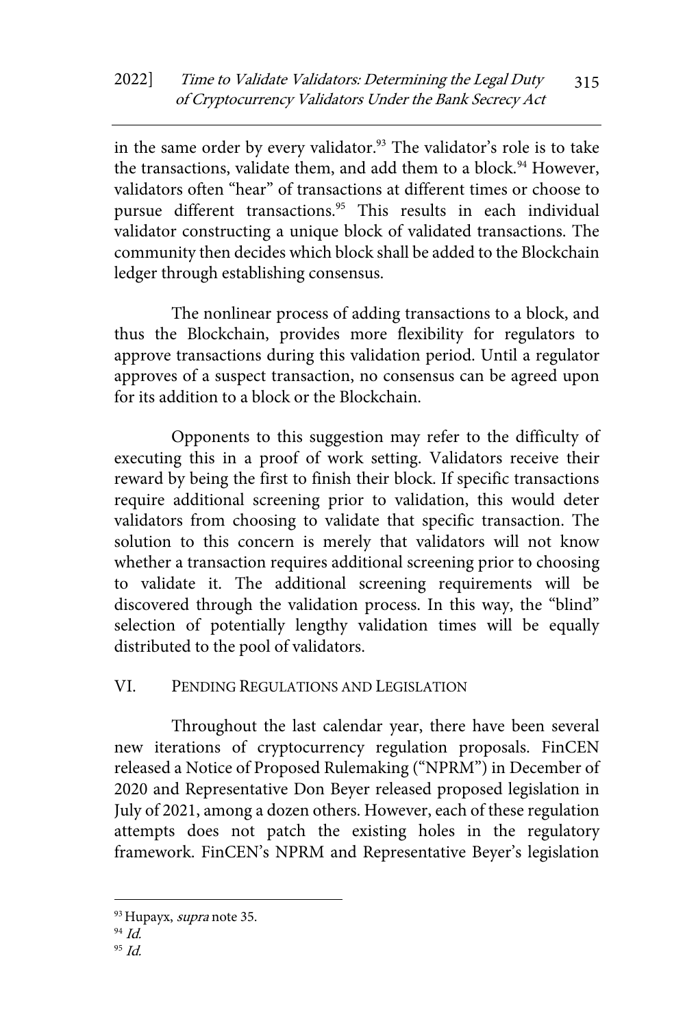in the same order by every validator.<sup>93</sup> The validator's role is to take the transactions, validate them, and add them to a block.<sup>94</sup> However, validators often "hear" of transactions at different times or choose to pursue different transactions.<sup>95</sup> This results in each individual validator constructing a unique block of validated transactions. The community then decides which block shall be added to the Blockchain ledger through establishing consensus.

The nonlinear process of adding transactions to a block, and thus the Blockchain, provides more flexibility for regulators to approve transactions during this validation period. Until a regulator approves of a suspect transaction, no consensus can be agreed upon for its addition to a block or the Blockchain.

Opponents to this suggestion may refer to the difficulty of executing this in a proof of work setting. Validators receive their reward by being the first to finish their block. If specific transactions require additional screening prior to validation, this would deter validators from choosing to validate that specific transaction. The solution to this concern is merely that validators will not know whether a transaction requires additional screening prior to choosing to validate it. The additional screening requirements will be discovered through the validation process. In this way, the "blind" selection of potentially lengthy validation times will be equally distributed to the pool of validators.

## VI. PENDING REGULATIONS AND LEGISLATION

Throughout the last calendar year, there have been several new iterations of cryptocurrency regulation proposals. FinCEN released a Notice of Proposed Rulemaking ("NPRM") in December of 2020 and Representative Don Beyer released proposed legislation in July of 2021, among a dozen others. However, each of these regulation attempts does not patch the existing holes in the regulatory framework. FinCEN's NPRM and Representative Beyer's legislation

<sup>&</sup>lt;sup>93</sup> Hupayx, *supra* note 35.

<sup>94</sup> Id.

 $95$  Id.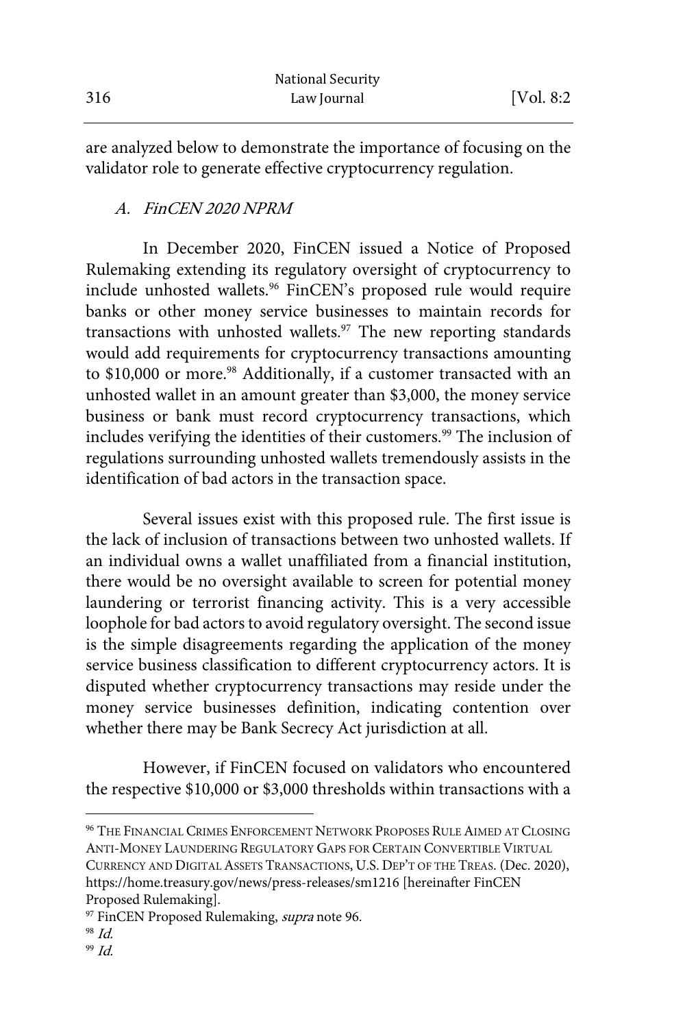|     | <b>National Security</b> |            |
|-----|--------------------------|------------|
| 316 | Law Journal              | [Vol. 8:2] |

are analyzed below to demonstrate the importance of focusing on the validator role to generate effective cryptocurrency regulation.

#### A. FinCEN 2020 NPRM

In December 2020, FinCEN issued a Notice of Proposed Rulemaking extending its regulatory oversight of cryptocurrency to include unhosted wallets.<sup>96</sup> FinCEN's proposed rule would require banks or other money service businesses to maintain records for transactions with unhosted wallets.<sup>97</sup> The new reporting standards would add requirements for cryptocurrency transactions amounting to \$10,000 or more.<sup>98</sup> Additionally, if a customer transacted with an unhosted wallet in an amount greater than \$3,000, the money service business or bank must record cryptocurrency transactions, which includes verifying the identities of their customers.<sup>99</sup> The inclusion of regulations surrounding unhosted wallets tremendously assists in the identification of bad actors in the transaction space.

Several issues exist with this proposed rule. The first issue is the lack of inclusion of transactions between two unhosted wallets. If an individual owns a wallet unaffiliated from a financial institution, there would be no oversight available to screen for potential money laundering or terrorist financing activity. This is a very accessible loophole for bad actors to avoid regulatory oversight. The second issue is the simple disagreements regarding the application of the money service business classification to different cryptocurrency actors. It is disputed whether cryptocurrency transactions may reside under the money service businesses definition, indicating contention over whether there may be Bank Secrecy Act jurisdiction at all.

However, if FinCEN focused on validators who encountered the respective \$10,000 or \$3,000 thresholds within transactions with a

- 98 Id.
- 99 Id.

<sup>96</sup> THE FINANCIAL CRIMES ENFORCEMENT NETWORK PROPOSES RULE AIMED AT CLOSING ANTI-MONEY LAUNDERING REGULATORY GAPS FOR CERTAIN CONVERTIBLE VIRTUAL CURRENCY AND DIGITAL ASSETS TRANSACTIONS, U.S. DEP'T OF THE TREAS. (Dec. 2020), https://home.treasury.gov/news/press-releases/sm1216 [hereinafter FinCEN Proposed Rulemaking].

<sup>&</sup>lt;sup>97</sup> FinCEN Proposed Rulemaking, *supra* note 96.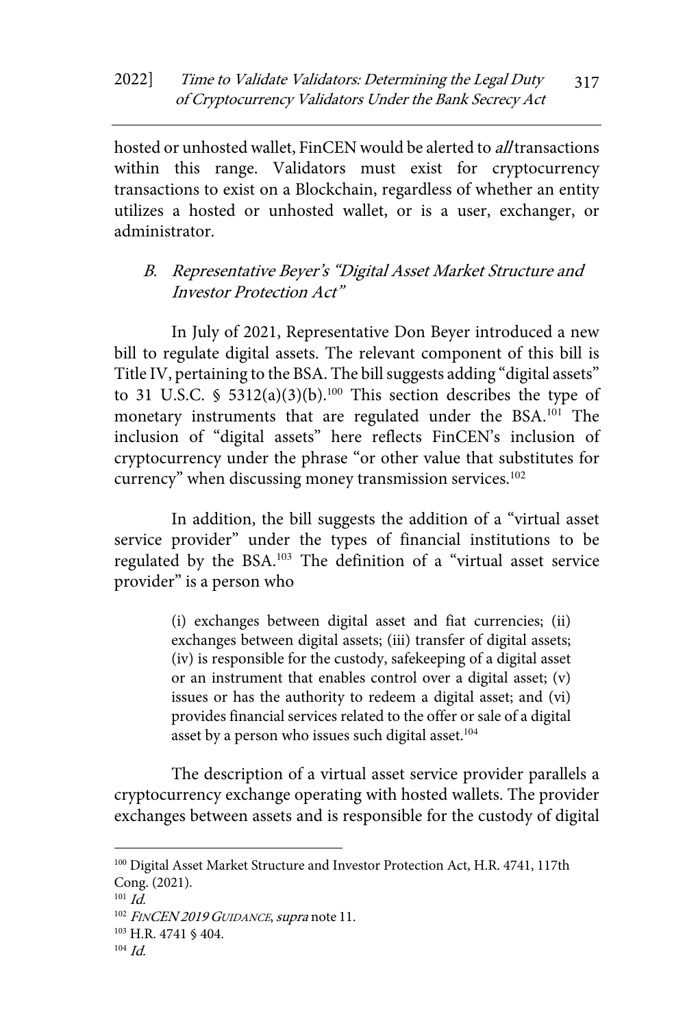hosted or unhosted wallet, FinCEN would be alerted to *all* transactions within this range. Validators must exist for cryptocurrency transactions to exist on a Blockchain, regardless of whether an entity utilizes a hosted or unhosted wallet, or is a user, exchanger, or administrator.

## B. Representative Beyer's "Digital Asset Market Structure and Investor Protection Act"

In July of 2021, Representative Don Beyer introduced a new bill to regulate digital assets. The relevant component of this bill is Title IV, pertaining to the BSA. The bill suggests adding "digital assets" to 31 U.S.C. § 5312(a)(3)(b).<sup>100</sup> This section describes the type of monetary instruments that are regulated under the BSA.<sup>101</sup> The inclusion of "digital assets" here reflects FinCEN's inclusion of cryptocurrency under the phrase "or other value that substitutes for currency" when discussing money transmission services.<sup>102</sup>

In addition, the bill suggests the addition of a "virtual asset service provider" under the types of financial institutions to be regulated by the BSA.<sup>103</sup> The definition of a "virtual asset service provider" is a person who

> (i) exchanges between digital asset and fiat currencies; (ii) exchanges between digital assets; (iii) transfer of digital assets; (iv) is responsible for the custody, safekeeping of a digital asset or an instrument that enables control over a digital asset; (v) issues or has the authority to redeem a digital asset; and (vi) provides financial services related to the offer or sale of a digital asset by a person who issues such digital asset.<sup>104</sup>

The description of a virtual asset service provider parallels a cryptocurrency exchange operating with hosted wallets. The provider exchanges between assets and is responsible for the custody of digital

<sup>100</sup> Digital Asset Market Structure and Investor Protection Act, H.R. 4741, 117th Cong. (2021).

 $101$  *Id.* 

<sup>&</sup>lt;sup>102</sup> FINCEN 2019 GUIDANCE, supra note 11.

<sup>103</sup> H.R. 4741 § 404.

 $104 \, \text{Id}$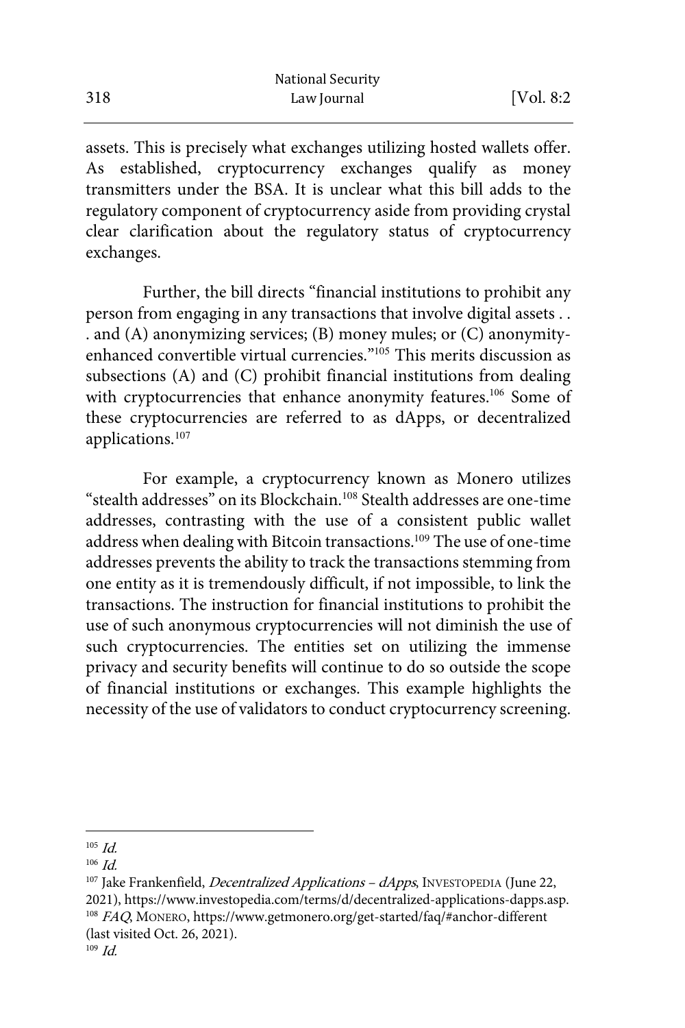|     | <b>National Security</b> |            |
|-----|--------------------------|------------|
| 318 | Law Journal              | [Vol. 8:2] |

assets. This is precisely what exchanges utilizing hosted wallets offer. As established, cryptocurrency exchanges qualify as money transmitters under the BSA. It is unclear what this bill adds to the regulatory component of cryptocurrency aside from providing crystal clear clarification about the regulatory status of cryptocurrency exchanges.

Further, the bill directs "financial institutions to prohibit any person from engaging in any transactions that involve digital assets . . . and (A) anonymizing services; (B) money mules; or (C) anonymityenhanced convertible virtual currencies."<sup>105</sup> This merits discussion as subsections (A) and (C) prohibit financial institutions from dealing with cryptocurrencies that enhance anonymity features.<sup>106</sup> Some of these cryptocurrencies are referred to as dApps, or decentralized applications.<sup>107</sup>

For example, a cryptocurrency known as Monero utilizes "stealth addresses" on its Blockchain.<sup>108</sup> Stealth addresses are one-time addresses, contrasting with the use of a consistent public wallet address when dealing with Bitcoin transactions.<sup>109</sup> The use of one-time addresses prevents the ability to track the transactions stemming from one entity as it is tremendously difficult, if not impossible, to link the transactions. The instruction for financial institutions to prohibit the use of such anonymous cryptocurrencies will not diminish the use of such cryptocurrencies. The entities set on utilizing the immense privacy and security benefits will continue to do so outside the scope of financial institutions or exchanges. This example highlights the necessity of the use of validators to conduct cryptocurrency screening.

 $105$  *Id.* 

 $106$  *Id.* 

<sup>&</sup>lt;sup>107</sup> Jake Frankenfield, *Decentralized Applications – dApps*, INVESTOPEDIA (June 22,<br>2021), https://www.investopedia.com/terms/d/decentralized-applications-dapps.asp.  $108$   $FAQ$ , MONERO, https://www.getmonero.org/get-started/faq/#anchor-different (last visited Oct. 26, 2021).  $109$  *Id.*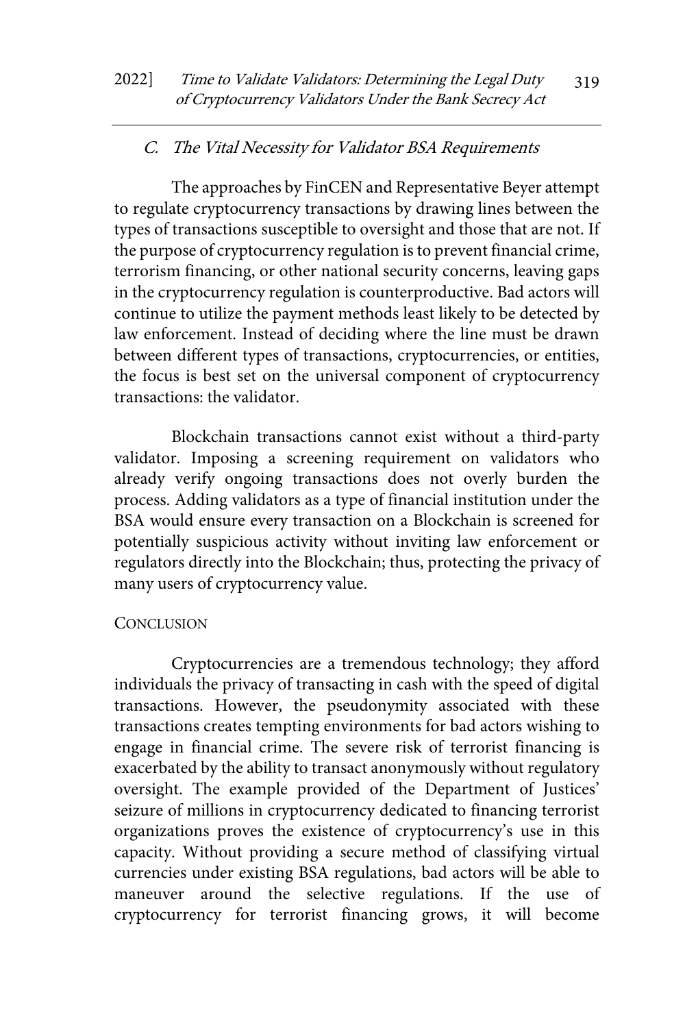#### C. The Vital Necessity for Validator BSA Requirements

The approaches by FinCEN and Representative Beyer attempt to regulate cryptocurrency transactions by drawing lines between the types of transactions susceptible to oversight and those that are not. If the purpose of cryptocurrency regulation is to prevent financial crime, terrorism financing, or other national security concerns, leaving gaps in the cryptocurrency regulation is counterproductive. Bad actors will continue to utilize the payment methods least likely to be detected by law enforcement. Instead of deciding where the line must be drawn between different types of transactions, cryptocurrencies, or entities, the focus is best set on the universal component of cryptocurrency transactions: the validator.

Blockchain transactions cannot exist without a third-party validator. Imposing a screening requirement on validators who already verify ongoing transactions does not overly burden the process. Adding validators as a type of financial institution under the BSA would ensure every transaction on a Blockchain is screened for potentially suspicious activity without inviting law enforcement or regulators directly into the Blockchain; thus, protecting the privacy of many users of cryptocurrency value.

#### **CONCLUSION**

Cryptocurrencies are a tremendous technology; they afford individuals the privacy of transacting in cash with the speed of digital transactions. However, the pseudonymity associated with these transactions creates tempting environments for bad actors wishing to engage in financial crime. The severe risk of terrorist financing is exacerbated by the ability to transact anonymously without regulatory oversight. The example provided of the Department of Justices' seizure of millions in cryptocurrency dedicated to financing terrorist organizations proves the existence of cryptocurrency's use in this capacity. Without providing a secure method of classifying virtual currencies under existing BSA regulations, bad actors will be able to maneuver around the selective regulations. If the use of cryptocurrency for terrorist financing grows, it will become